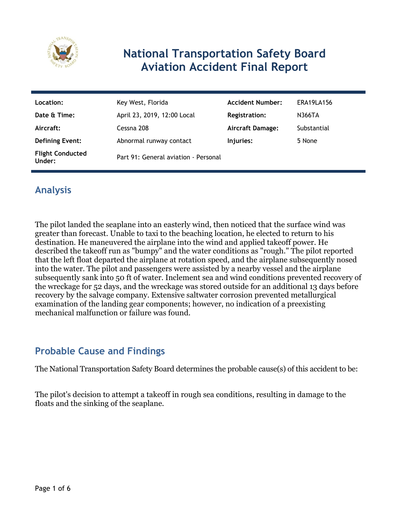

## **National Transportation Safety Board Aviation Accident Final Report**

| Location:                         | Key West, Florida                    | <b>Accident Number:</b> | ERA19LA156  |
|-----------------------------------|--------------------------------------|-------------------------|-------------|
| Date & Time:                      | April 23, 2019, 12:00 Local          | <b>Registration:</b>    | N366TA      |
| Aircraft:                         | Cessna 208                           | <b>Aircraft Damage:</b> | Substantial |
| <b>Defining Event:</b>            | Abnormal runway contact              | Injuries:               | 5 None      |
| <b>Flight Conducted</b><br>Under: | Part 91: General aviation - Personal |                         |             |

## **Analysis**

The pilot landed the seaplane into an easterly wind, then noticed that the surface wind was greater than forecast. Unable to taxi to the beaching location, he elected to return to his destination. He maneuvered the airplane into the wind and applied takeoff power. He described the takeoff run as "bumpy" and the water conditions as "rough." The pilot reported that the left float departed the airplane at rotation speed, and the airplane subsequently nosed into the water. The pilot and passengers were assisted by a nearby vessel and the airplane subsequently sank into 50 ft of water. Inclement sea and wind conditions prevented recovery of the wreckage for 52 days, and the wreckage was stored outside for an additional 13 days before recovery by the salvage company. Extensive saltwater corrosion prevented metallurgical examination of the landing gear components; however, no indication of a preexisting mechanical malfunction or failure was found.

## **Probable Cause and Findings**

The National Transportation Safety Board determines the probable cause(s) of this accident to be:

The pilot's decision to attempt a takeoff in rough sea conditions, resulting in damage to the floats and the sinking of the seaplane.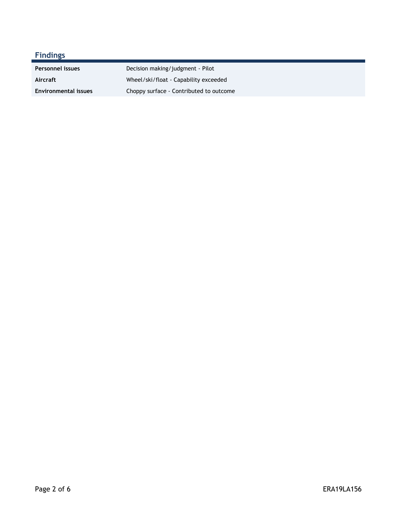| <b>Findings</b>             |                                         |
|-----------------------------|-----------------------------------------|
| Personnel issues            | Decision making/judgment - Pilot        |
| Aircraft                    | Wheel/ski/float - Capability exceeded   |
| <b>Environmental issues</b> | Choppy surface - Contributed to outcome |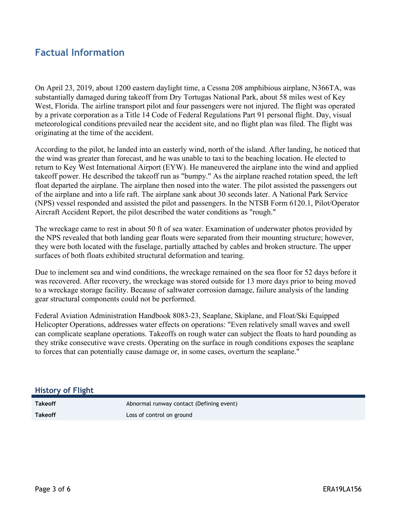### **Factual Information**

On April 23, 2019, about 1200 eastern daylight time, a Cessna 208 amphibious airplane, N366TA, was substantially damaged during takeoff from Dry Tortugas National Park, about 58 miles west of Key West, Florida. The airline transport pilot and four passengers were not injured. The flight was operated by a private corporation as a Title 14 Code of Federal Regulations Part 91 personal flight. Day, visual meteorological conditions prevailed near the accident site, and no flight plan was filed. The flight was originating at the time of the accident.

According to the pilot, he landed into an easterly wind, north of the island. After landing, he noticed that the wind was greater than forecast, and he was unable to taxi to the beaching location. He elected to return to Key West International Airport (EYW). He maneuvered the airplane into the wind and applied takeoff power. He described the takeoff run as "bumpy." As the airplane reached rotation speed, the left float departed the airplane. The airplane then nosed into the water. The pilot assisted the passengers out of the airplane and into a life raft. The airplane sank about 30 seconds later. A National Park Service (NPS) vessel responded and assisted the pilot and passengers. In the NTSB Form 6120.1, Pilot/Operator Aircraft Accident Report, the pilot described the water conditions as "rough."

The wreckage came to rest in about 50 ft of sea water. Examination of underwater photos provided by the NPS revealed that both landing gear floats were separated from their mounting structure; however, they were both located with the fuselage, partially attached by cables and broken structure. The upper surfaces of both floats exhibited structural deformation and tearing.

Due to inclement sea and wind conditions, the wreckage remained on the sea floor for 52 days before it was recovered. After recovery, the wreckage was stored outside for 13 more days prior to being moved to a wreckage storage facility. Because of saltwater corrosion damage, failure analysis of the landing gear structural components could not be performed.

Federal Aviation Administration Handbook 8083-23, Seaplane, Skiplane, and Float/Ski Equipped Helicopter Operations, addresses water effects on operations: "Even relatively small waves and swell can complicate seaplane operations. Takeoffs on rough water can subject the floats to hard pounding as they strike consecutive wave crests. Operating on the surface in rough conditions exposes the seaplane to forces that can potentially cause damage or, in some cases, overturn the seaplane."

#### **History of Flight**

**Takeoff Abnormal runway contact (Defining event) Abnormal runway contact (Defining event) Takeoff** Loss of control on ground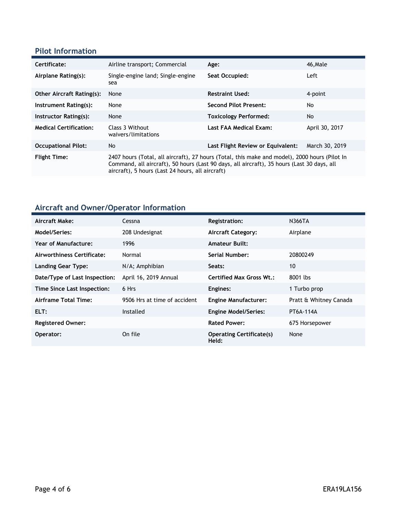#### **Pilot Information**

| Certificate:                     | Airline transport; Commercial                                                                                                                                                                                                                   | Age:                              | 46, Male       |
|----------------------------------|-------------------------------------------------------------------------------------------------------------------------------------------------------------------------------------------------------------------------------------------------|-----------------------------------|----------------|
| Airplane Rating(s):              | Single-engine land; Single-engine<br>sea                                                                                                                                                                                                        | Seat Occupied:                    | Left           |
| <b>Other Aircraft Rating(s):</b> | None                                                                                                                                                                                                                                            | <b>Restraint Used:</b>            | 4-point        |
| Instrument Rating(s):            | None                                                                                                                                                                                                                                            | <b>Second Pilot Present:</b>      | No             |
| Instructor Rating(s):            | None                                                                                                                                                                                                                                            | <b>Toxicology Performed:</b>      | <b>No</b>      |
| <b>Medical Certification:</b>    | Class 3 Without<br>waivers/limitations                                                                                                                                                                                                          | Last FAA Medical Exam:            | April 30, 2017 |
| <b>Occupational Pilot:</b>       | No                                                                                                                                                                                                                                              | Last Flight Review or Equivalent: | March 30, 2019 |
| <b>Flight Time:</b>              | 2407 hours (Total, all aircraft), 27 hours (Total, this make and model), 2000 hours (Pilot In<br>Command, all aircraft), 50 hours (Last 90 days, all aircraft), 35 hours (Last 30 days, all<br>aircraft), 5 hours (Last 24 hours, all aircraft) |                                   |                |

# **Aircraft and Owner/Operator Information**

| Aircraft Make:                | Cessna                       | Registration:                            | <b>N366TA</b>          |
|-------------------------------|------------------------------|------------------------------------------|------------------------|
| <b>Model/Series:</b>          | 208 Undesignat               | Aircraft Category:                       | Airplane               |
| Year of Manufacture:          | 1996                         | <b>Amateur Built:</b>                    |                        |
| Airworthiness Certificate:    | Normal                       | <b>Serial Number:</b>                    | 20800249               |
| Landing Gear Type:            | N/A; Amphibian               | Seats:                                   | 10                     |
| Date/Type of Last Inspection: | April 16, 2019 Annual        | <b>Certified Max Gross Wt.:</b>          | 8001 lbs               |
| Time Since Last Inspection:   | 6 Hrs                        | Engines:                                 | 1 Turbo prop           |
| Airframe Total Time:          | 9506 Hrs at time of accident | <b>Engine Manufacturer:</b>              | Pratt & Whitney Canada |
| ELT:                          | Installed                    | <b>Engine Model/Series:</b>              | PT6A-114A              |
| <b>Registered Owner:</b>      |                              | <b>Rated Power:</b>                      | 675 Horsepower         |
| Operator:                     | On file                      | <b>Operating Certificate(s)</b><br>Held: | None                   |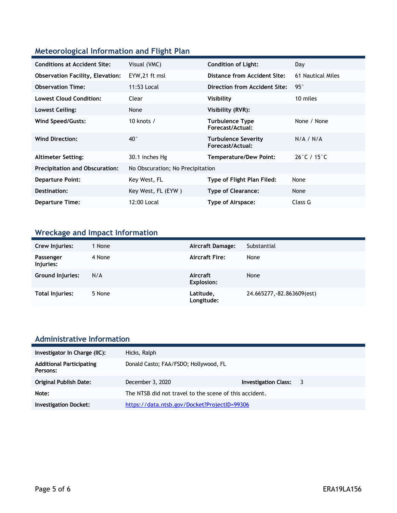#### **Meteorological Information and Flight Plan**

| <b>Conditions at Accident Site:</b>     | Visual (VMC)                     | <b>Condition of Light:</b>                     | Day                              |
|-----------------------------------------|----------------------------------|------------------------------------------------|----------------------------------|
| <b>Observation Facility, Elevation:</b> | EYW, 21 ft msl                   | Distance from Accident Site:                   | 61 Nautical Miles                |
| <b>Observation Time:</b>                | 11:53 Local                      | Direction from Accident Site:                  | 95°                              |
| <b>Lowest Cloud Condition:</b>          | Clear                            | Visibility                                     | 10 miles                         |
| Lowest Ceiling:                         | None                             | Visibility (RVR):                              |                                  |
| Wind Speed/Gusts:                       | 10 knots $/$                     | <b>Turbulence Type</b><br>Forecast/Actual:     | None / None                      |
| <b>Wind Direction:</b>                  | $40^{\circ}$                     | <b>Turbulence Severity</b><br>Forecast/Actual: | N/A / N/A                        |
| <b>Altimeter Setting:</b>               | 30.1 inches Hg                   | <b>Temperature/Dew Point:</b>                  | $26^{\circ}$ C / 15 $^{\circ}$ C |
| <b>Precipitation and Obscuration:</b>   | No Obscuration; No Precipitation |                                                |                                  |
| <b>Departure Point:</b>                 | Key West, FL                     | Type of Flight Plan Filed:                     | None                             |
| Destination:                            | Key West, FL (EYW)               | <b>Type of Clearance:</b>                      | None                             |
| <b>Departure Time:</b>                  | 12:00 Local                      | Type of Airspace:                              | Class G                          |

## **Wreckage and Impact Information**

| Crew Injuries:          | 1 None | <b>Aircraft Damage:</b> | Substantial                |
|-------------------------|--------|-------------------------|----------------------------|
| Passenger<br>Injuries:  | 4 None | <b>Aircraft Fire:</b>   | None                       |
| <b>Ground Injuries:</b> | N/A    | Aircraft<br>Explosion:  | None                       |
| Total Injuries:         | 5 None | Latitude,<br>Longitude: | 24.665277, -82.863609(est) |

#### **Administrative Information**

| Investigator In Charge (IIC):               | Hicks, Ralph                                           |                      |     |
|---------------------------------------------|--------------------------------------------------------|----------------------|-----|
| <b>Additional Participating</b><br>Persons: | Donald Casto; FAA/FSDO; Hollywood, FL                  |                      |     |
| <b>Original Publish Date:</b>               | December 3, 2020                                       | Investigation Class: | - 3 |
| Note:                                       | The NTSB did not travel to the scene of this accident. |                      |     |
| <b>Investigation Docket:</b>                | https://data.ntsb.gov/Docket?ProjectID=99306           |                      |     |